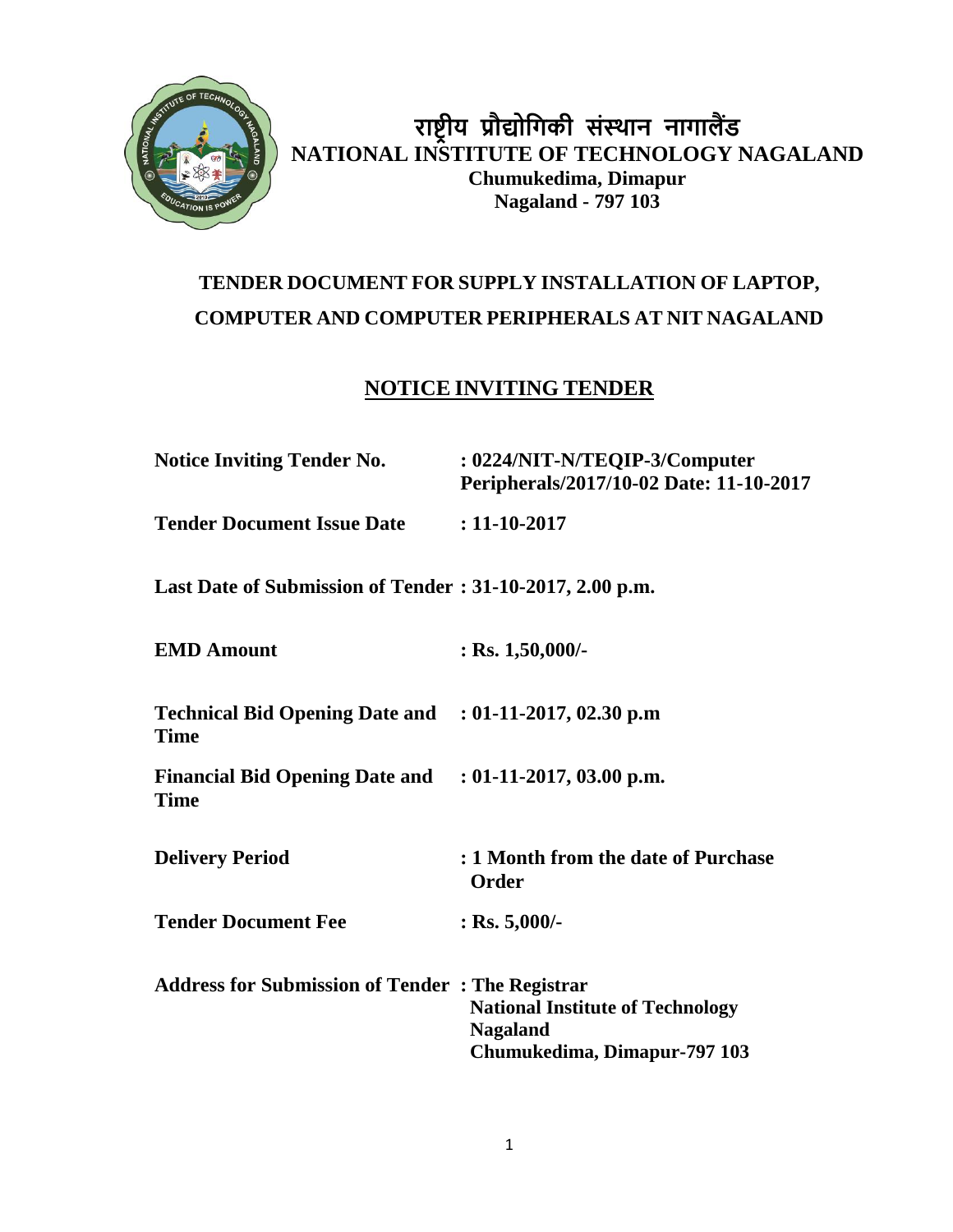

**राष्ट्रीय प्रौद्योगिकी संस्थान नािालैंड NATIONAL INSTITUTE OF TECHNOLOGY NAGALAND Chumukedima, Dimapur Nagaland - 797 103**

# **TENDER DOCUMENT FOR SUPPLY INSTALLATION OF LAPTOP, COMPUTER AND COMPUTER PERIPHERALS AT NIT NAGALAND**

### **NOTICE INVITING TENDER**

| <b>Notice Inviting Tender No.</b>                                      | : 0224/NIT-N/TEQIP-3/Computer<br>Peripherals/2017/10-02 Date: 11-10-2017                   |
|------------------------------------------------------------------------|--------------------------------------------------------------------------------------------|
| <b>Tender Document Issue Date : 11-10-2017</b>                         |                                                                                            |
| Last Date of Submission of Tender: 31-10-2017, 2.00 p.m.               |                                                                                            |
| <b>EMD Amount</b>                                                      | : Rs. $1,50,000/$ -                                                                        |
| Technical Bid Opening Date and : 01-11-2017, 02.30 p.m<br><b>Time</b>  |                                                                                            |
| Financial Bid Opening Date and : 01-11-2017, 03.00 p.m.<br><b>Time</b> |                                                                                            |
| <b>Delivery Period</b>                                                 | : 1 Month from the date of Purchase<br>Order                                               |
| <b>Tender Document Fee</b>                                             | : Rs. $5,000/$ -                                                                           |
| <b>Address for Submission of Tender: The Registrar</b>                 | <b>National Institute of Technology</b><br><b>Nagaland</b><br>Chumukedima, Dimapur-797 103 |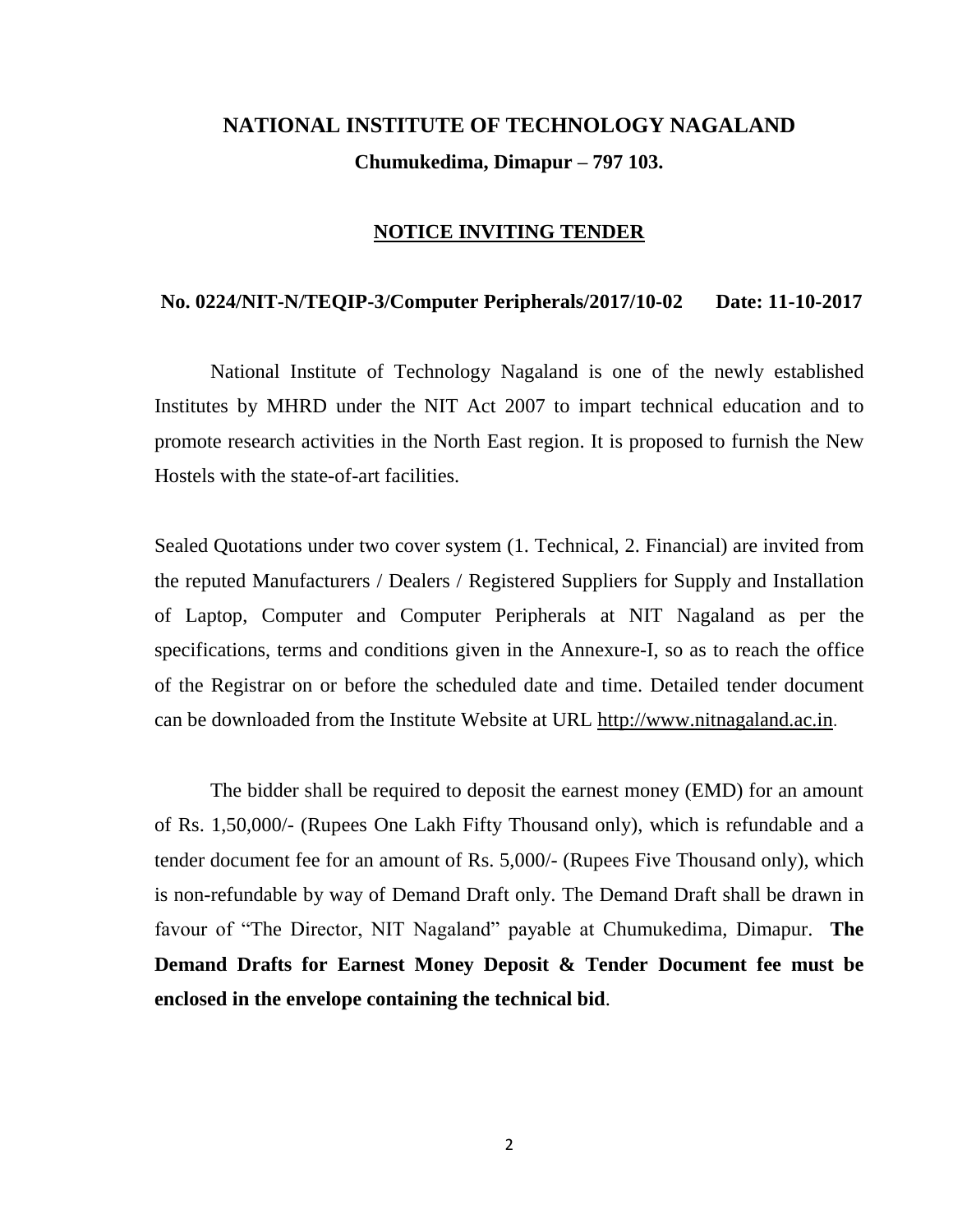# **NATIONAL INSTITUTE OF TECHNOLOGY NAGALAND Chumukedima, Dimapur – 797 103.**

#### **NOTICE INVITING TENDER**

#### **No. 0224/NIT-N/TEQIP-3/Computer Peripherals/2017/10-02 Date: 11-10-2017**

National Institute of Technology Nagaland is one of the newly established Institutes by MHRD under the NIT Act 2007 to impart technical education and to promote research activities in the North East region. It is proposed to furnish the New Hostels with the state-of-art facilities.

Sealed Quotations under two cover system (1. Technical, 2. Financial) are invited from the reputed Manufacturers / Dealers / Registered Suppliers for Supply and Installation of Laptop, Computer and Computer Peripherals at NIT Nagaland as per the specifications, terms and conditions given in the Annexure-I, so as to reach the office of the Registrar on or before the scheduled date and time. Detailed tender document can be downloaded from the Institute Website at URL [http://www.nitnagaland.ac.in](http://www.nitnagaland.ac.in/).

The bidder shall be required to deposit the earnest money (EMD) for an amount of Rs. 1,50,000/- (Rupees One Lakh Fifty Thousand only), which is refundable and a tender document fee for an amount of Rs. 5,000/- (Rupees Five Thousand only), which is non-refundable by way of Demand Draft only. The Demand Draft shall be drawn in favour of "The Director, NIT Nagaland" payable at Chumukedima, Dimapur. **The Demand Drafts for Earnest Money Deposit & Tender Document fee must be enclosed in the envelope containing the technical bid**.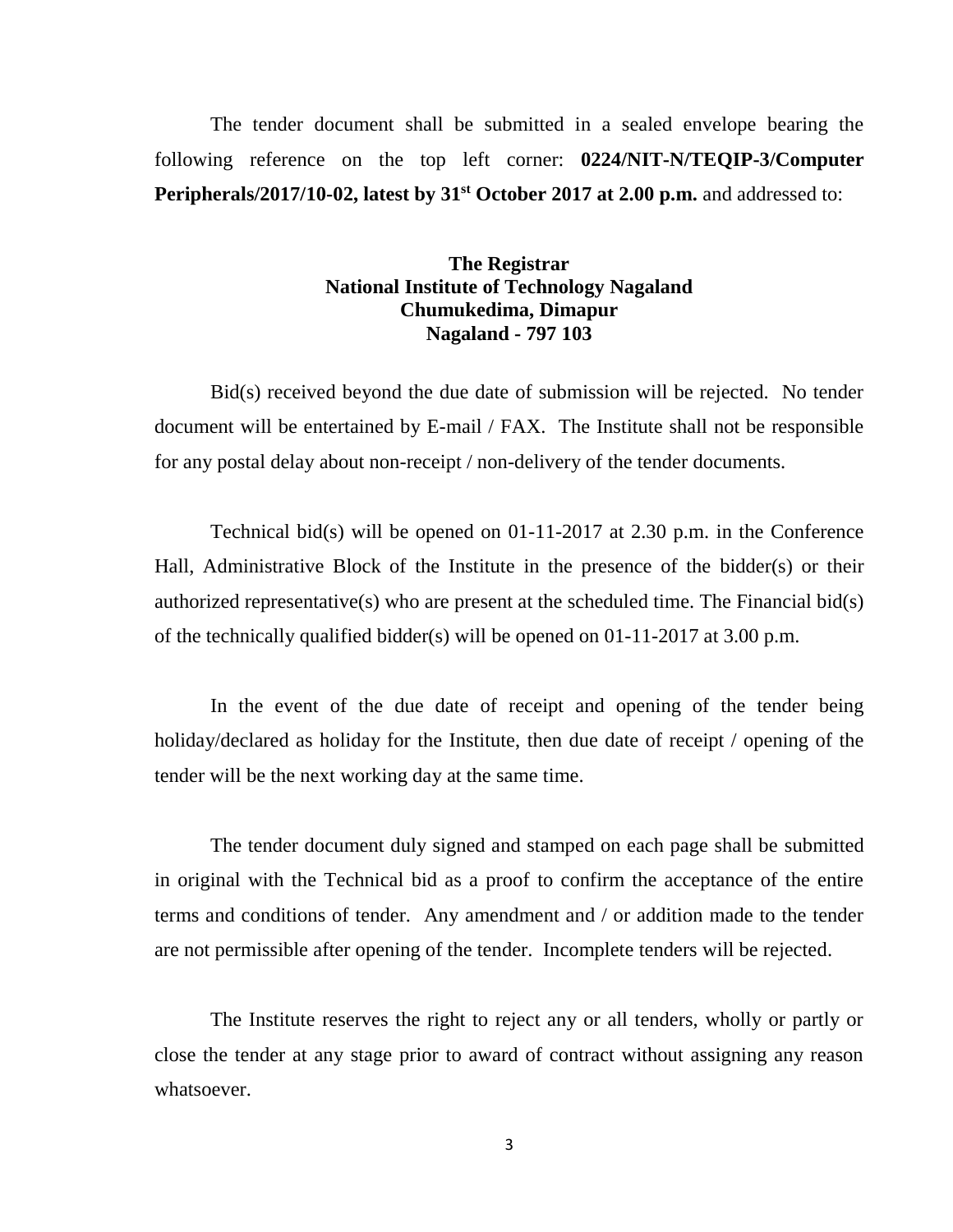The tender document shall be submitted in a sealed envelope bearing the following reference on the top left corner: **0224/NIT-N/TEQIP-3/Computer Peripherals/2017/10-02, latest by 31st October 2017 at 2.00 p.m.** and addressed to:

#### **The Registrar National Institute of Technology Nagaland Chumukedima, Dimapur Nagaland - 797 103**

Bid(s) received beyond the due date of submission will be rejected. No tender document will be entertained by E-mail / FAX. The Institute shall not be responsible for any postal delay about non-receipt / non-delivery of the tender documents.

Technical bid(s) will be opened on 01-11-2017 at 2.30 p.m. in the Conference Hall, Administrative Block of the Institute in the presence of the bidder(s) or their authorized representative(s) who are present at the scheduled time. The Financial bid(s) of the technically qualified bidder(s) will be opened on 01-11-2017 at 3.00 p.m.

In the event of the due date of receipt and opening of the tender being holiday/declared as holiday for the Institute, then due date of receipt / opening of the tender will be the next working day at the same time.

The tender document duly signed and stamped on each page shall be submitted in original with the Technical bid as a proof to confirm the acceptance of the entire terms and conditions of tender. Any amendment and / or addition made to the tender are not permissible after opening of the tender. Incomplete tenders will be rejected.

The Institute reserves the right to reject any or all tenders, wholly or partly or close the tender at any stage prior to award of contract without assigning any reason whatsoever.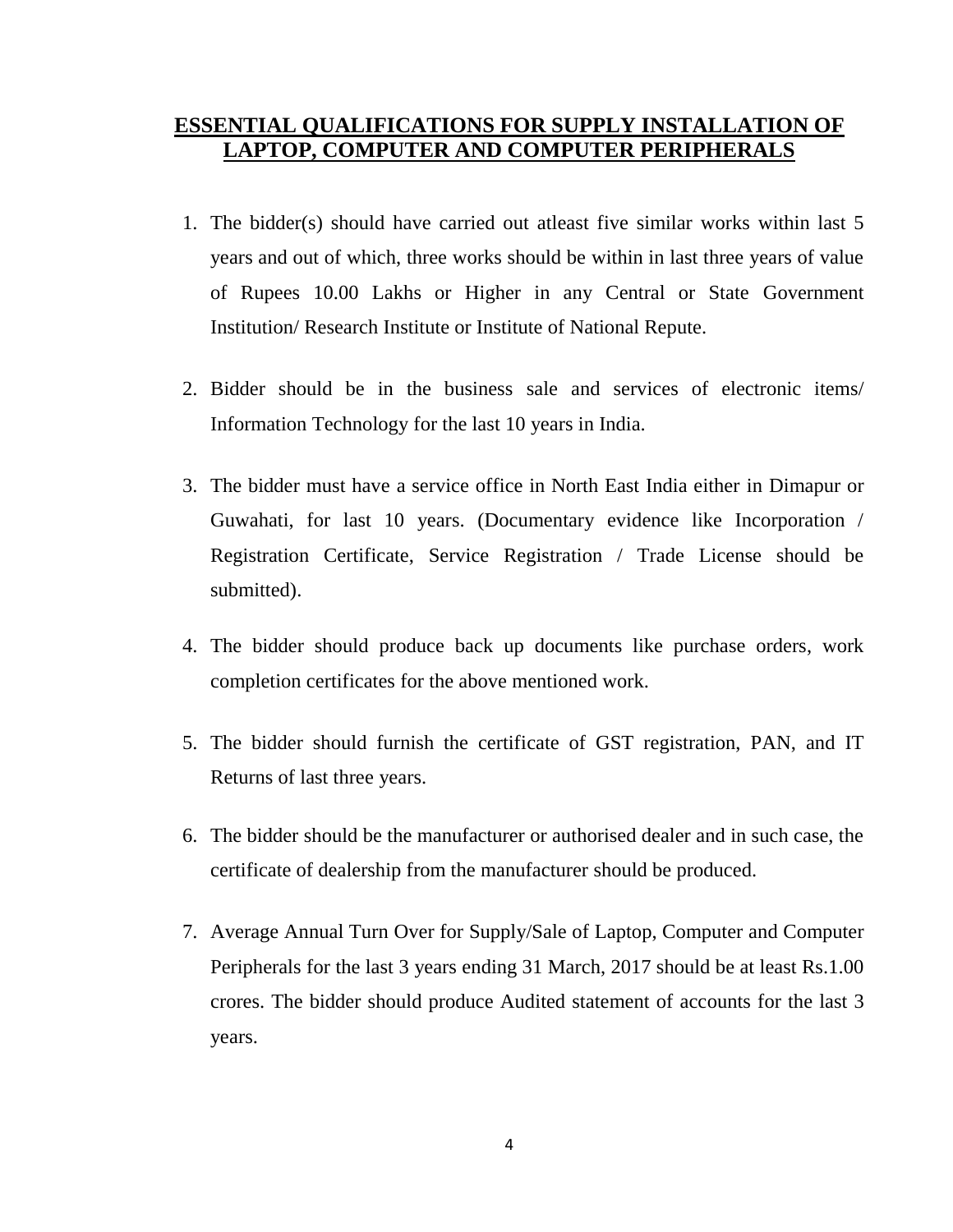### **ESSENTIAL QUALIFICATIONS FOR SUPPLY INSTALLATION OF LAPTOP, COMPUTER AND COMPUTER PERIPHERALS**

- 1. The bidder(s) should have carried out atleast five similar works within last 5 years and out of which, three works should be within in last three years of value of Rupees 10.00 Lakhs or Higher in any Central or State Government Institution/ Research Institute or Institute of National Repute.
- 2. Bidder should be in the business sale and services of electronic items/ Information Technology for the last 10 years in India.
- 3. The bidder must have a service office in North East India either in Dimapur or Guwahati, for last 10 years. (Documentary evidence like Incorporation / Registration Certificate, Service Registration / Trade License should be submitted).
- 4. The bidder should produce back up documents like purchase orders, work completion certificates for the above mentioned work.
- 5. The bidder should furnish the certificate of GST registration, PAN, and IT Returns of last three years.
- 6. The bidder should be the manufacturer or authorised dealer and in such case, the certificate of dealership from the manufacturer should be produced.
- 7. Average Annual Turn Over for Supply/Sale of Laptop, Computer and Computer Peripherals for the last 3 years ending 31 March, 2017 should be at least Rs.1.00 crores. The bidder should produce Audited statement of accounts for the last 3 years.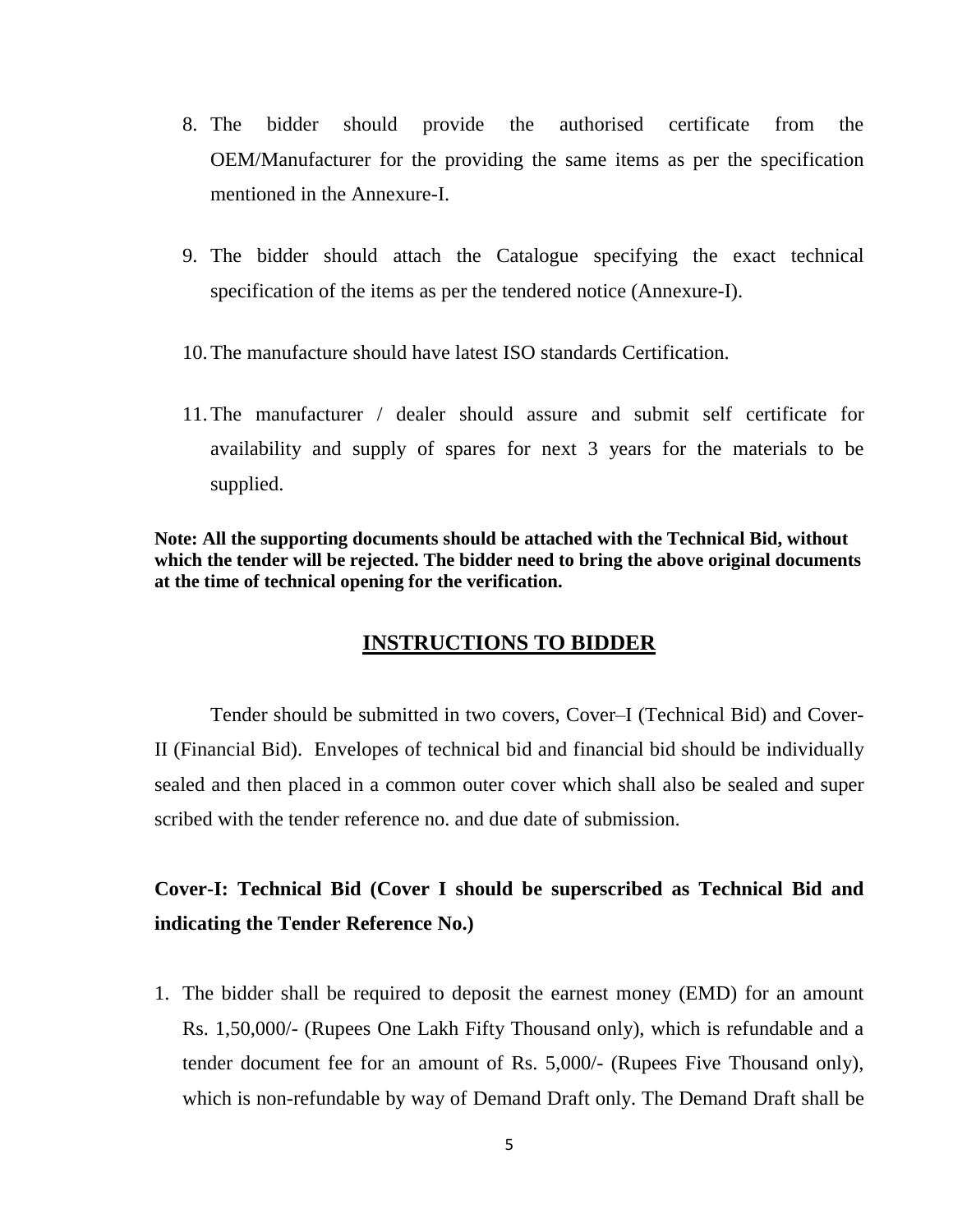- 8. The bidder should provide the authorised certificate from the OEM/Manufacturer for the providing the same items as per the specification mentioned in the Annexure-I.
- 9. The bidder should attach the Catalogue specifying the exact technical specification of the items as per the tendered notice (Annexure-I).
- 10.The manufacture should have latest ISO standards Certification.
- 11.The manufacturer / dealer should assure and submit self certificate for availability and supply of spares for next 3 years for the materials to be supplied.

**Note: All the supporting documents should be attached with the Technical Bid, without which the tender will be rejected. The bidder need to bring the above original documents at the time of technical opening for the verification.**

#### **INSTRUCTIONS TO BIDDER**

Tender should be submitted in two covers, Cover–I (Technical Bid) and Cover-II (Financial Bid). Envelopes of technical bid and financial bid should be individually sealed and then placed in a common outer cover which shall also be sealed and super scribed with the tender reference no. and due date of submission.

## **Cover-I: Technical Bid (Cover I should be superscribed as Technical Bid and indicating the Tender Reference No.)**

1. The bidder shall be required to deposit the earnest money (EMD) for an amount Rs. 1,50,000/- (Rupees One Lakh Fifty Thousand only), which is refundable and a tender document fee for an amount of Rs. 5,000/- (Rupees Five Thousand only), which is non-refundable by way of Demand Draft only. The Demand Draft shall be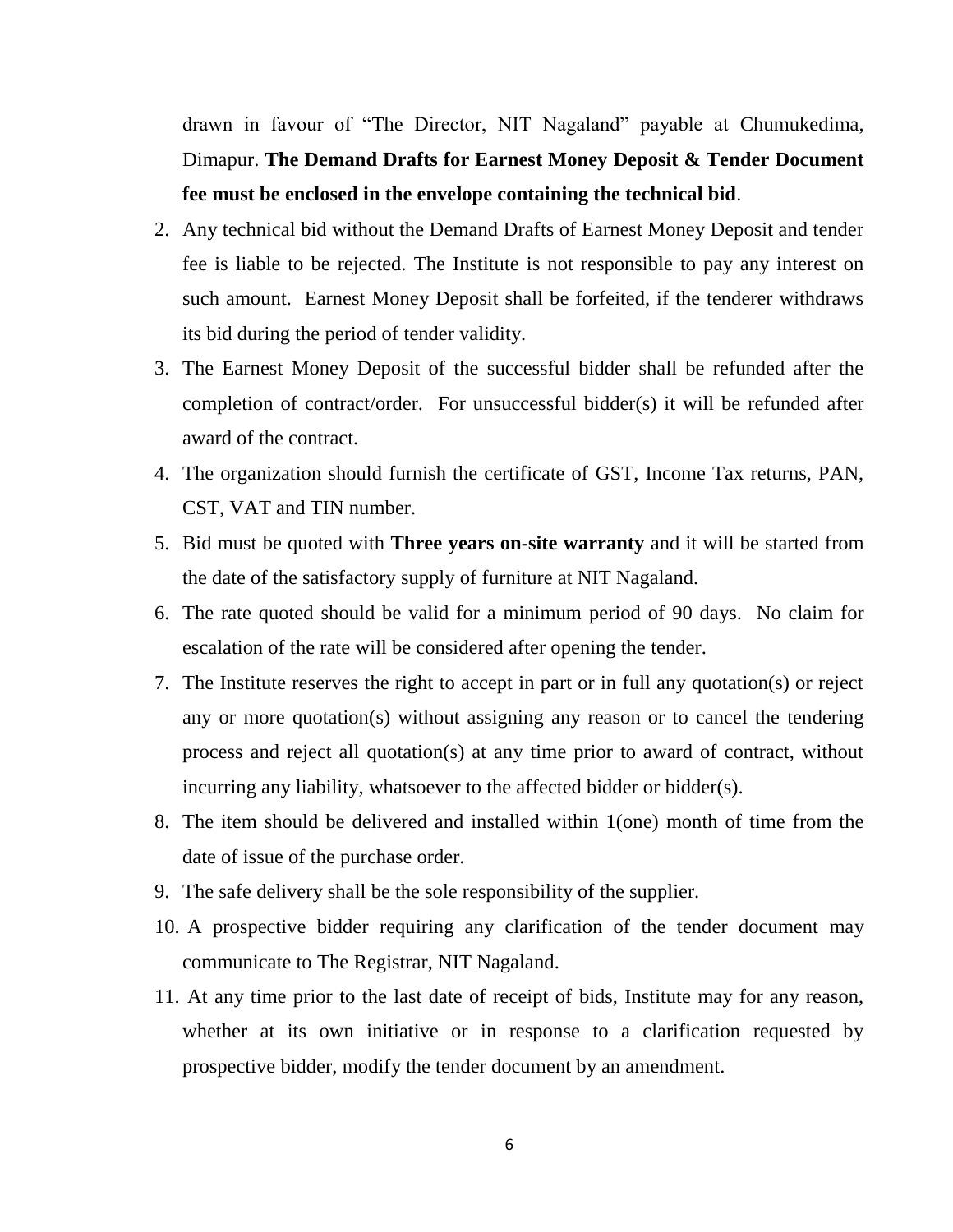drawn in favour of "The Director, NIT Nagaland" payable at Chumukedima, Dimapur. **The Demand Drafts for Earnest Money Deposit & Tender Document fee must be enclosed in the envelope containing the technical bid**.

- 2. Any technical bid without the Demand Drafts of Earnest Money Deposit and tender fee is liable to be rejected. The Institute is not responsible to pay any interest on such amount. Earnest Money Deposit shall be forfeited, if the tenderer withdraws its bid during the period of tender validity.
- 3. The Earnest Money Deposit of the successful bidder shall be refunded after the completion of contract/order. For unsuccessful bidder(s) it will be refunded after award of the contract.
- 4. The organization should furnish the certificate of GST, Income Tax returns, PAN, CST, VAT and TIN number.
- 5. Bid must be quoted with **Three years on-site warranty** and it will be started from the date of the satisfactory supply of furniture at NIT Nagaland.
- 6. The rate quoted should be valid for a minimum period of 90 days. No claim for escalation of the rate will be considered after opening the tender.
- 7. The Institute reserves the right to accept in part or in full any quotation(s) or reject any or more quotation(s) without assigning any reason or to cancel the tendering process and reject all quotation(s) at any time prior to award of contract, without incurring any liability, whatsoever to the affected bidder or bidder(s).
- 8. The item should be delivered and installed within 1(one) month of time from the date of issue of the purchase order.
- 9. The safe delivery shall be the sole responsibility of the supplier.
- 10. A prospective bidder requiring any clarification of the tender document may communicate to The Registrar, NIT Nagaland.
- 11. At any time prior to the last date of receipt of bids, Institute may for any reason, whether at its own initiative or in response to a clarification requested by prospective bidder, modify the tender document by an amendment.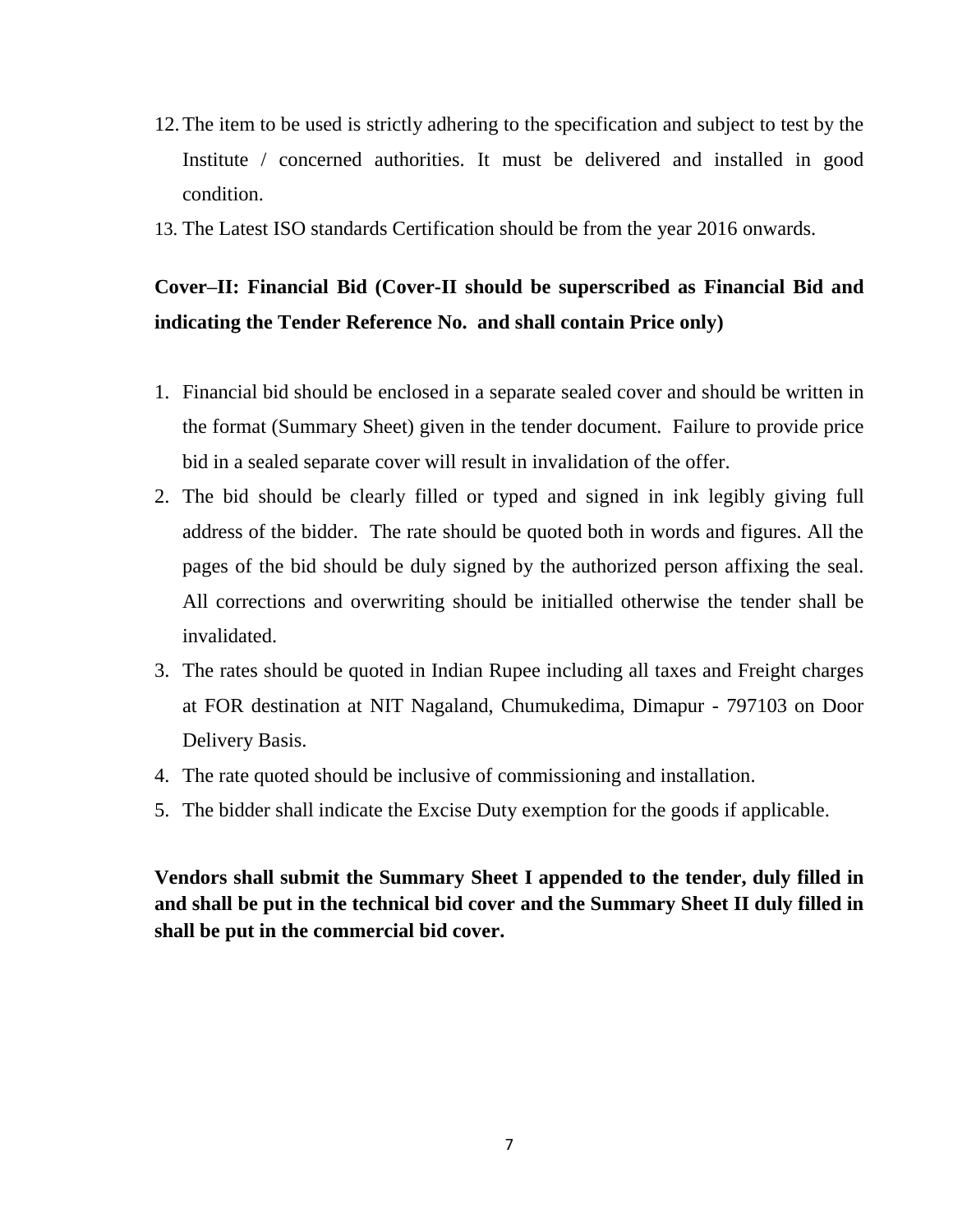- 12.The item to be used is strictly adhering to the specification and subject to test by the Institute / concerned authorities. It must be delivered and installed in good condition.
- 13. The Latest ISO standards Certification should be from the year 2016 onwards.

# **Cover–II: Financial Bid (Cover-II should be superscribed as Financial Bid and indicating the Tender Reference No. and shall contain Price only)**

- 1. Financial bid should be enclosed in a separate sealed cover and should be written in the format (Summary Sheet) given in the tender document. Failure to provide price bid in a sealed separate cover will result in invalidation of the offer.
- 2. The bid should be clearly filled or typed and signed in ink legibly giving full address of the bidder. The rate should be quoted both in words and figures. All the pages of the bid should be duly signed by the authorized person affixing the seal. All corrections and overwriting should be initialled otherwise the tender shall be invalidated.
- 3. The rates should be quoted in Indian Rupee including all taxes and Freight charges at FOR destination at NIT Nagaland, Chumukedima, Dimapur - 797103 on Door Delivery Basis.
- 4. The rate quoted should be inclusive of commissioning and installation.
- 5. The bidder shall indicate the Excise Duty exemption for the goods if applicable.

**Vendors shall submit the Summary Sheet I appended to the tender, duly filled in and shall be put in the technical bid cover and the Summary Sheet II duly filled in shall be put in the commercial bid cover.**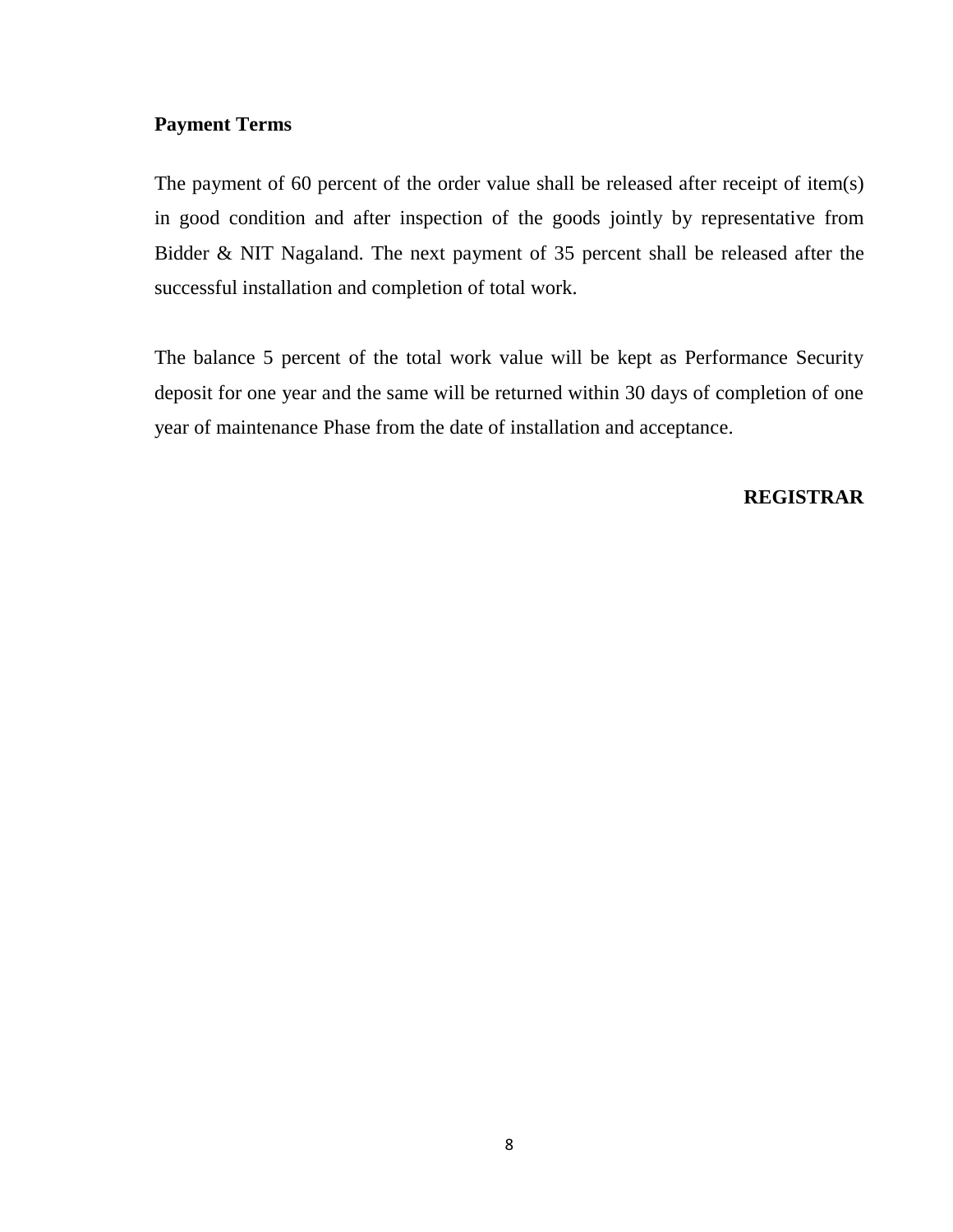#### **Payment Terms**

The payment of 60 percent of the order value shall be released after receipt of item(s) in good condition and after inspection of the goods jointly by representative from Bidder & NIT Nagaland. The next payment of 35 percent shall be released after the successful installation and completion of total work.

The balance 5 percent of the total work value will be kept as Performance Security deposit for one year and the same will be returned within 30 days of completion of one year of maintenance Phase from the date of installation and acceptance.

#### **REGISTRAR**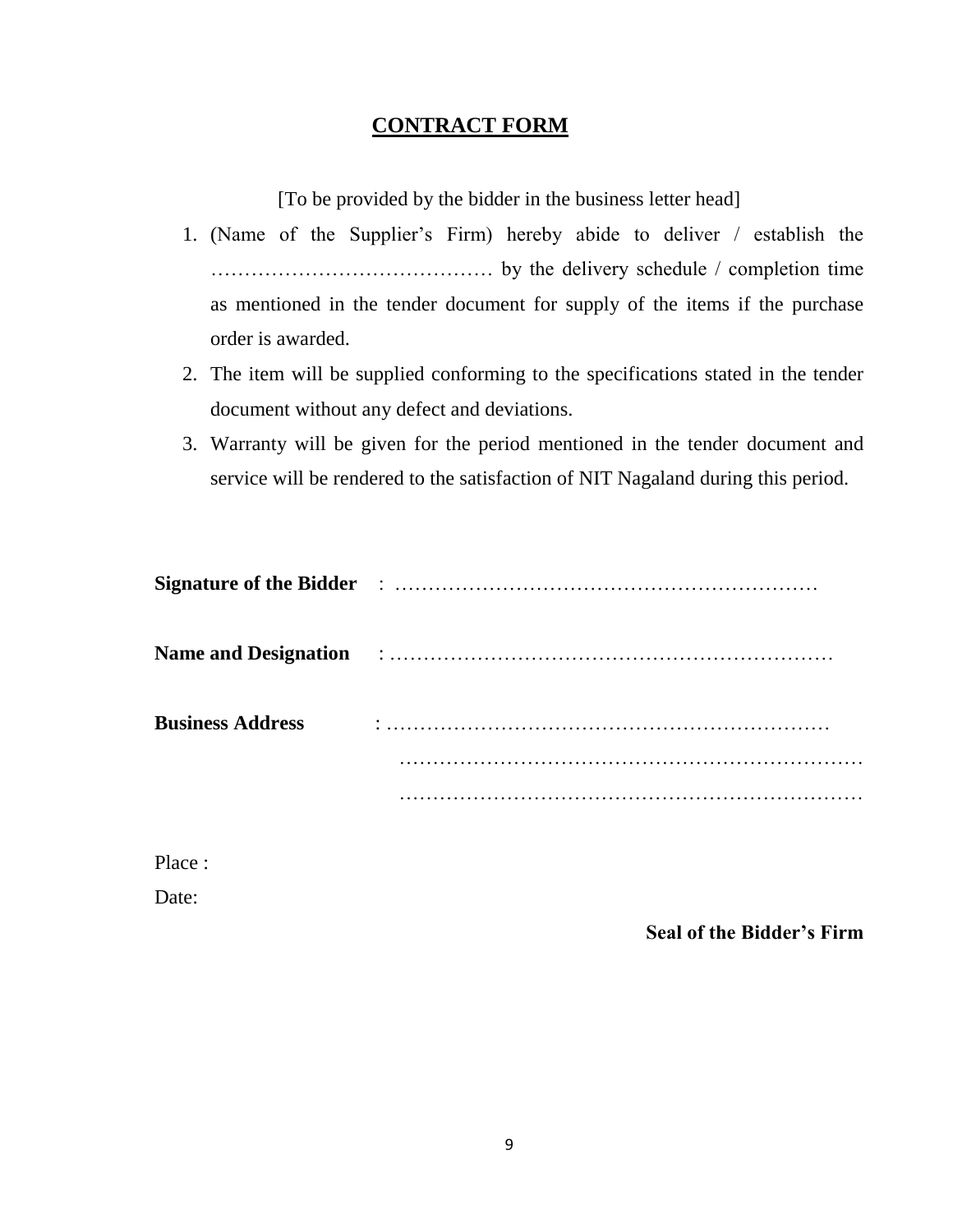### **CONTRACT FORM**

[To be provided by the bidder in the business letter head]

- 1. (Name of the Supplier's Firm) hereby abide to deliver / establish the …………………………………… by the delivery schedule / completion time as mentioned in the tender document for supply of the items if the purchase order is awarded.
- 2. The item will be supplied conforming to the specifications stated in the tender document without any defect and deviations.
- 3. Warranty will be given for the period mentioned in the tender document and service will be rendered to the satisfaction of NIT Nagaland during this period.

| <b>Business Address</b> |  |
|-------------------------|--|
|                         |  |
|                         |  |

Place :

Date:

**Seal of the Bidder's Firm**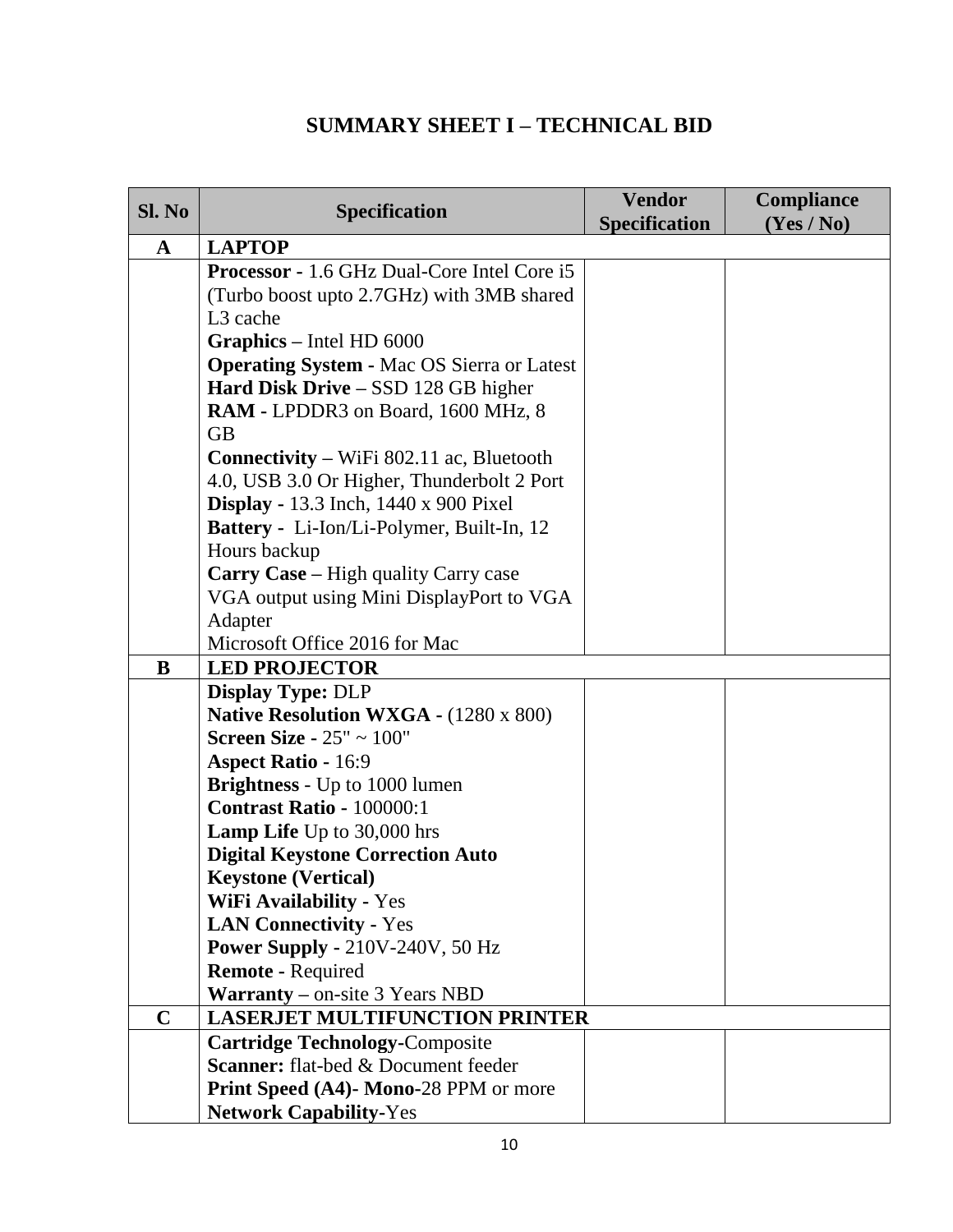### **SUMMARY SHEET I – TECHNICAL BID**

| Sl. No      | <b>Specification</b>                                                                                                                                                                                                                                                                                                                                                                                                                                                                        | <b>Vendor</b><br><b>Specification</b> | Compliance<br>(Yes / No) |
|-------------|---------------------------------------------------------------------------------------------------------------------------------------------------------------------------------------------------------------------------------------------------------------------------------------------------------------------------------------------------------------------------------------------------------------------------------------------------------------------------------------------|---------------------------------------|--------------------------|
| $\mathbf A$ | <b>LAPTOP</b>                                                                                                                                                                                                                                                                                                                                                                                                                                                                               |                                       |                          |
|             | <b>Processor</b> - 1.6 GHz Dual-Core Intel Core i5<br>(Turbo boost upto 2.7GHz) with 3MB shared<br>L <sub>3</sub> cache                                                                                                                                                                                                                                                                                                                                                                     |                                       |                          |
|             | Graphics - Intel HD 6000<br><b>Operating System - Mac OS Sierra or Latest</b><br>Hard Disk Drive - SSD 128 GB higher<br>RAM - LPDDR3 on Board, 1600 MHz, 8<br><b>GB</b><br><b>Connectivity – WiFi 802.11 ac, Bluetooth</b><br>4.0, USB 3.0 Or Higher, Thunderbolt 2 Port<br><b>Display - 13.3</b> Inch, 1440 x 900 Pixel<br><b>Battery</b> - Li-Ion/Li-Polymer, Built-In, 12<br>Hours backup<br>Carry Case - High quality Carry case<br>VGA output using Mini DisplayPort to VGA<br>Adapter |                                       |                          |
|             | Microsoft Office 2016 for Mac                                                                                                                                                                                                                                                                                                                                                                                                                                                               |                                       |                          |
| B           | <b>LED PROJECTOR</b>                                                                                                                                                                                                                                                                                                                                                                                                                                                                        |                                       |                          |
|             | <b>Display Type: DLP</b>                                                                                                                                                                                                                                                                                                                                                                                                                                                                    |                                       |                          |
|             | <b>Native Resolution WXGA - (1280 x 800)</b><br>Screen Size - $25" \sim 100"$<br><b>Aspect Ratio - 16:9</b>                                                                                                                                                                                                                                                                                                                                                                                 |                                       |                          |
|             | <b>Brightness</b> - Up to 1000 lumen                                                                                                                                                                                                                                                                                                                                                                                                                                                        |                                       |                          |
|             | <b>Contrast Ratio - 100000:1</b>                                                                                                                                                                                                                                                                                                                                                                                                                                                            |                                       |                          |
|             | <b>Lamp Life</b> Up to 30,000 hrs                                                                                                                                                                                                                                                                                                                                                                                                                                                           |                                       |                          |
|             | <b>Digital Keystone Correction Auto</b>                                                                                                                                                                                                                                                                                                                                                                                                                                                     |                                       |                          |
|             | <b>Keystone (Vertical)</b>                                                                                                                                                                                                                                                                                                                                                                                                                                                                  |                                       |                          |
|             | <b>WiFi Availability - Yes</b>                                                                                                                                                                                                                                                                                                                                                                                                                                                              |                                       |                          |
|             | <b>LAN Connectivity - Yes</b>                                                                                                                                                                                                                                                                                                                                                                                                                                                               |                                       |                          |
|             | <b>Power Supply - 210V-240V, 50 Hz</b>                                                                                                                                                                                                                                                                                                                                                                                                                                                      |                                       |                          |
|             | <b>Remote - Required</b>                                                                                                                                                                                                                                                                                                                                                                                                                                                                    |                                       |                          |
|             | <b>Warranty</b> – on-site 3 Years NBD                                                                                                                                                                                                                                                                                                                                                                                                                                                       |                                       |                          |
| $\mathbf C$ | <b>LASERJET MULTIFUNCTION PRINTER</b>                                                                                                                                                                                                                                                                                                                                                                                                                                                       |                                       |                          |
|             | <b>Cartridge Technology-Composite</b><br><b>Scanner:</b> flat-bed & Document feeder                                                                                                                                                                                                                                                                                                                                                                                                         |                                       |                          |
|             |                                                                                                                                                                                                                                                                                                                                                                                                                                                                                             |                                       |                          |
|             | Print Speed (A4)- Mono-28 PPM or more<br><b>Network Capability-Yes</b>                                                                                                                                                                                                                                                                                                                                                                                                                      |                                       |                          |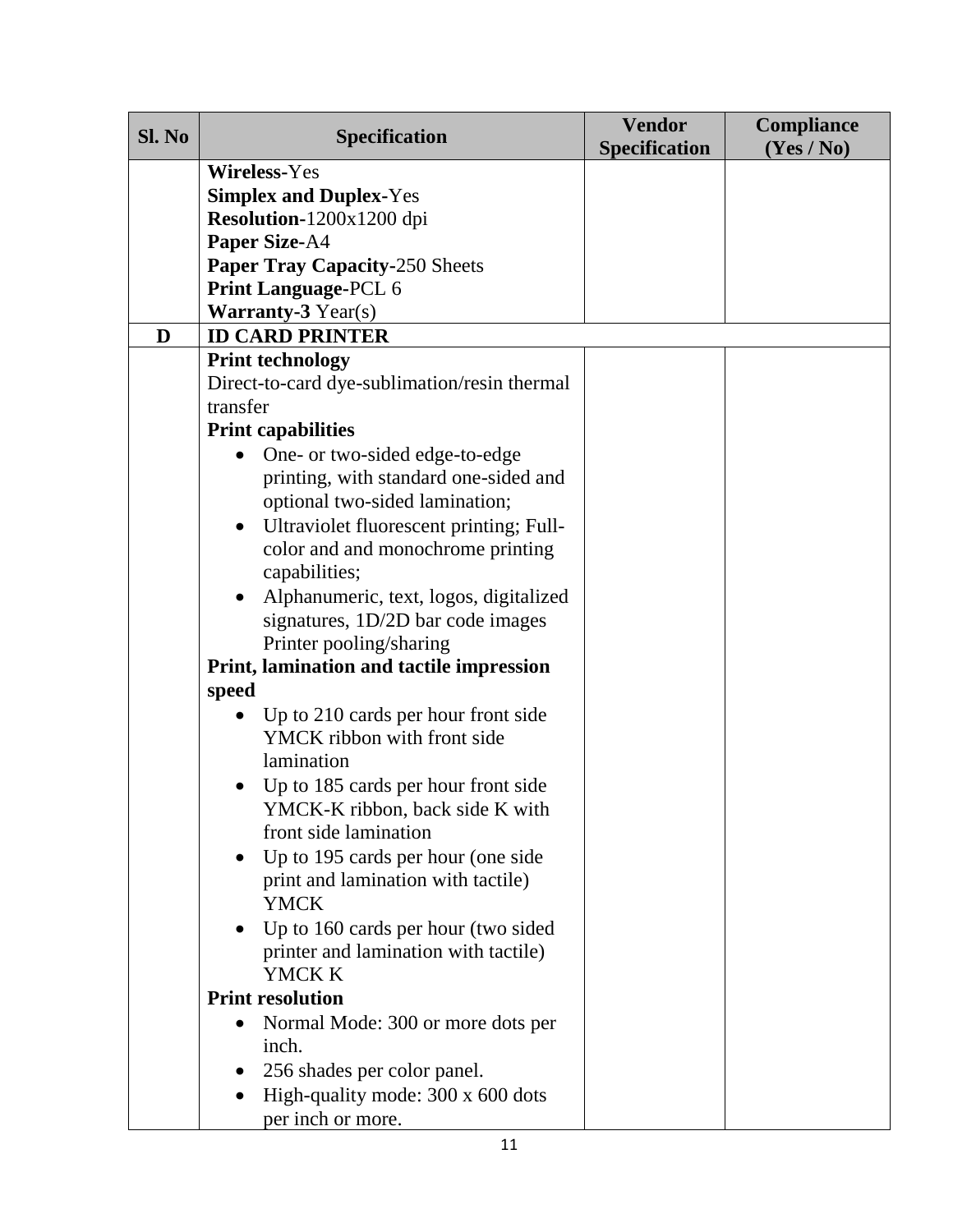| Sl. No | <b>Specification</b>                                                        | <b>Vendor</b><br><b>Specification</b> | Compliance<br>(Yes / No) |
|--------|-----------------------------------------------------------------------------|---------------------------------------|--------------------------|
|        | <b>Wireless-Yes</b>                                                         |                                       |                          |
|        | <b>Simplex and Duplex-Yes</b>                                               |                                       |                          |
|        | Resolution-1200x1200 dpi                                                    |                                       |                          |
|        | <b>Paper Size-A4</b>                                                        |                                       |                          |
|        | <b>Paper Tray Capacity-250 Sheets</b>                                       |                                       |                          |
|        | <b>Print Language-PCL 6</b>                                                 |                                       |                          |
|        | <b>Warranty-3 Year(s)</b>                                                   |                                       |                          |
| D      | <b>ID CARD PRINTER</b>                                                      |                                       |                          |
|        | <b>Print technology</b>                                                     |                                       |                          |
|        | Direct-to-card dye-sublimation/resin thermal                                |                                       |                          |
|        | transfer                                                                    |                                       |                          |
|        | <b>Print capabilities</b>                                                   |                                       |                          |
|        | One- or two-sided edge-to-edge                                              |                                       |                          |
|        | printing, with standard one-sided and                                       |                                       |                          |
|        | optional two-sided lamination;                                              |                                       |                          |
|        | Ultraviolet fluorescent printing; Full-<br>$\bullet$                        |                                       |                          |
|        | color and and monochrome printing                                           |                                       |                          |
|        | capabilities;                                                               |                                       |                          |
|        | Alphanumeric, text, logos, digitalized                                      |                                       |                          |
|        | signatures, 1D/2D bar code images                                           |                                       |                          |
|        | Printer pooling/sharing                                                     |                                       |                          |
|        | Print, lamination and tactile impression                                    |                                       |                          |
|        | speed                                                                       |                                       |                          |
|        | Up to 210 cards per hour front side                                         |                                       |                          |
|        | YMCK ribbon with front side                                                 |                                       |                          |
|        | lamination                                                                  |                                       |                          |
|        | Up to 185 cards per hour front side                                         |                                       |                          |
|        | YMCK-K ribbon, back side K with<br>front side lamination                    |                                       |                          |
|        |                                                                             |                                       |                          |
|        | Up to 195 cards per hour (one side<br>$\bullet$                             |                                       |                          |
|        | print and lamination with tactile)<br><b>YMCK</b>                           |                                       |                          |
|        |                                                                             |                                       |                          |
|        | Up to 160 cards per hour (two sided<br>printer and lamination with tactile) |                                       |                          |
|        | YMCK K                                                                      |                                       |                          |
|        | <b>Print resolution</b>                                                     |                                       |                          |
|        | Normal Mode: 300 or more dots per                                           |                                       |                          |
|        | inch.                                                                       |                                       |                          |
|        | 256 shades per color panel.                                                 |                                       |                          |
|        | High-quality mode: 300 x 600 dots                                           |                                       |                          |
|        | per inch or more.                                                           |                                       |                          |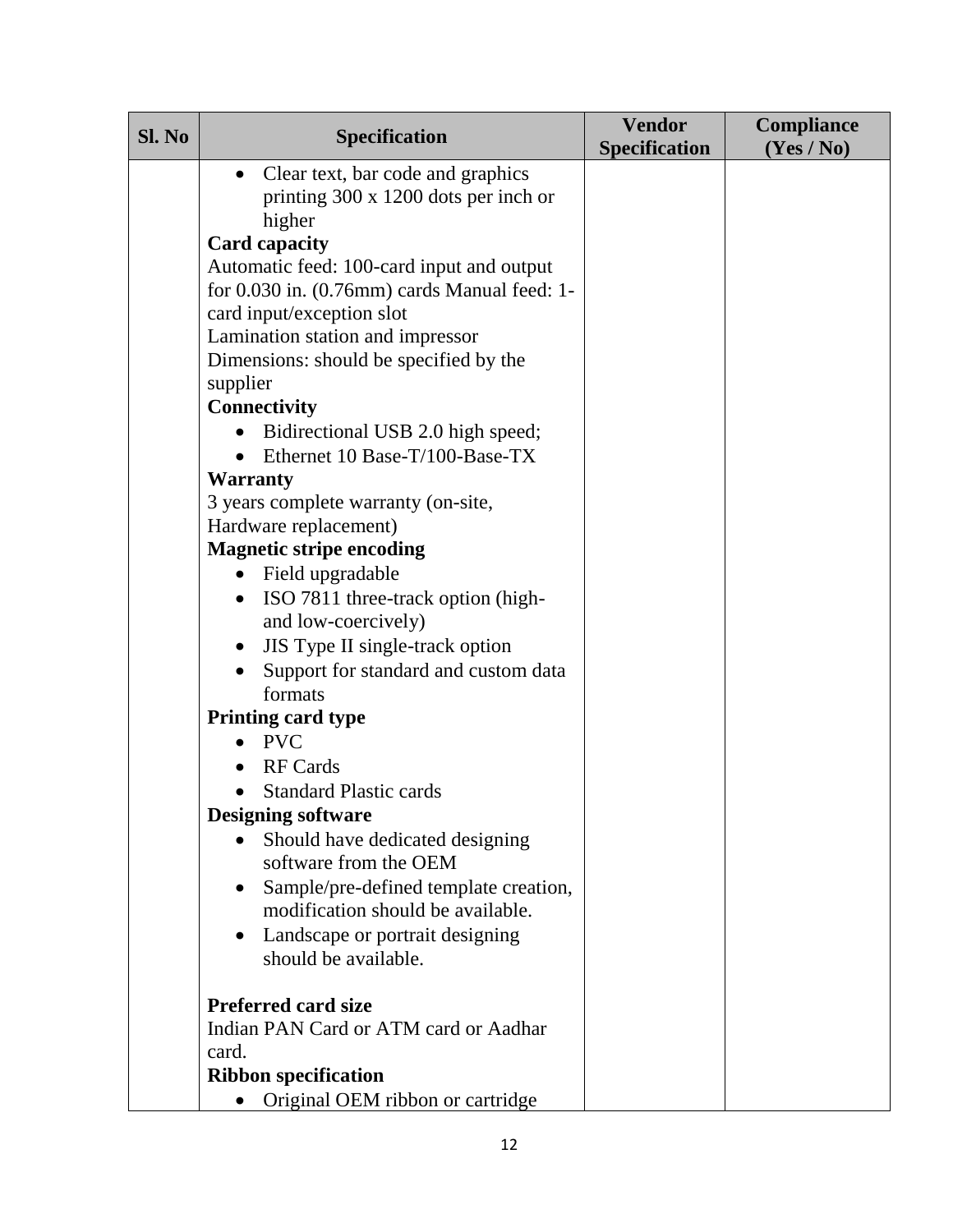| Sl. No | <b>Specification</b>                         | <b>Vendor</b><br><b>Specification</b> | <b>Compliance</b><br>(Yes / No) |
|--------|----------------------------------------------|---------------------------------------|---------------------------------|
|        | Clear text, bar code and graphics            |                                       |                                 |
|        | printing 300 x 1200 dots per inch or         |                                       |                                 |
|        | higher                                       |                                       |                                 |
|        | <b>Card capacity</b>                         |                                       |                                 |
|        | Automatic feed: 100-card input and output    |                                       |                                 |
|        | for 0.030 in. (0.76mm) cards Manual feed: 1- |                                       |                                 |
|        | card input/exception slot                    |                                       |                                 |
|        | Lamination station and impressor             |                                       |                                 |
|        | Dimensions: should be specified by the       |                                       |                                 |
|        | supplier                                     |                                       |                                 |
|        | <b>Connectivity</b>                          |                                       |                                 |
|        | Bidirectional USB 2.0 high speed;            |                                       |                                 |
|        | Ethernet 10 Base-T/100-Base-TX               |                                       |                                 |
|        | <b>Warranty</b>                              |                                       |                                 |
|        | 3 years complete warranty (on-site,          |                                       |                                 |
|        | Hardware replacement)                        |                                       |                                 |
|        | <b>Magnetic stripe encoding</b>              |                                       |                                 |
|        | • Field upgradable                           |                                       |                                 |
|        | ISO 7811 three-track option (high-           |                                       |                                 |
|        | and low-coercively)                          |                                       |                                 |
|        | JIS Type II single-track option              |                                       |                                 |
|        | Support for standard and custom data         |                                       |                                 |
|        | formats                                      |                                       |                                 |
|        | <b>Printing card type</b>                    |                                       |                                 |
|        | <b>PVC</b>                                   |                                       |                                 |
|        | <b>RF</b> Cards                              |                                       |                                 |
|        | <b>Standard Plastic cards</b>                |                                       |                                 |
|        | <b>Designing software</b>                    |                                       |                                 |
|        | Should have dedicated designing              |                                       |                                 |
|        | software from the OEM                        |                                       |                                 |
|        | Sample/pre-defined template creation,        |                                       |                                 |
|        | modification should be available.            |                                       |                                 |
|        | Landscape or portrait designing              |                                       |                                 |
|        | should be available.                         |                                       |                                 |
|        |                                              |                                       |                                 |
|        | <b>Preferred card size</b>                   |                                       |                                 |
|        | Indian PAN Card or ATM card or Aadhar        |                                       |                                 |
|        | card.                                        |                                       |                                 |
|        | <b>Ribbon specification</b>                  |                                       |                                 |
|        | Original OEM ribbon or cartridge             |                                       |                                 |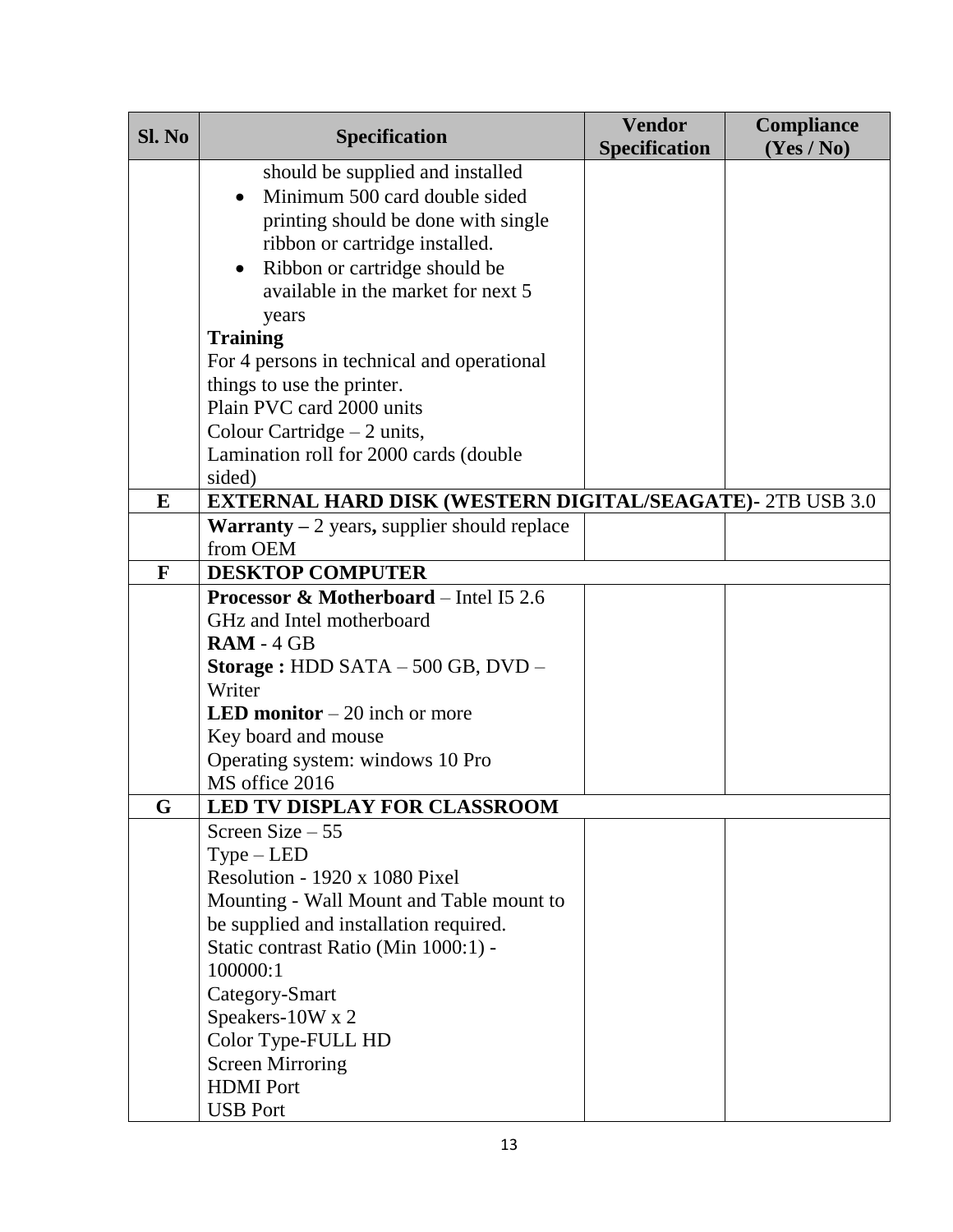| should be supplied and installed                                                   |  |
|------------------------------------------------------------------------------------|--|
| Minimum 500 card double sided                                                      |  |
| printing should be done with single                                                |  |
| ribbon or cartridge installed.                                                     |  |
| Ribbon or cartridge should be<br>$\bullet$                                         |  |
| available in the market for next 5                                                 |  |
| years                                                                              |  |
| <b>Training</b>                                                                    |  |
| For 4 persons in technical and operational                                         |  |
| things to use the printer.                                                         |  |
| Plain PVC card 2000 units                                                          |  |
| Colour Cartridge $-2$ units,                                                       |  |
| Lamination roll for 2000 cards (double                                             |  |
| sided)                                                                             |  |
| <b>EXTERNAL HARD DISK (WESTERN DIGITAL/SEAGATE)- 2TB USB 3.0</b><br>E              |  |
| <b>Warranty</b> $-2$ years, supplier should replace                                |  |
| from OEM                                                                           |  |
| <b>DESKTOP COMPUTER</b><br>F                                                       |  |
| <b>Processor &amp; Motherboard</b> – Intel I5 2.6                                  |  |
| GHz and Intel motherboard                                                          |  |
| $RAM - 4 GB$                                                                       |  |
| Storage: HDD SATA $-500$ GB, DVD $-$                                               |  |
| Writer                                                                             |  |
| <b>LED monitor</b> $-20$ inch or more                                              |  |
| Key board and mouse                                                                |  |
| Operating system: windows 10 Pro                                                   |  |
| MS office 2016                                                                     |  |
| LED TV DISPLAY FOR CLASSROOM<br>G                                                  |  |
| Screen Size $-55$                                                                  |  |
| $Type - LED$<br>Resolution - 1920 x 1080 Pixel                                     |  |
|                                                                                    |  |
| Mounting - Wall Mount and Table mount to<br>be supplied and installation required. |  |
|                                                                                    |  |
| Static contrast Ratio (Min 1000:1) -<br>100000:1                                   |  |
| Category-Smart                                                                     |  |
| Speakers-10W x 2                                                                   |  |
|                                                                                    |  |
| Color Type-FULL HD<br><b>Screen Mirroring</b>                                      |  |
| <b>HDMI</b> Port                                                                   |  |
| <b>USB Port</b>                                                                    |  |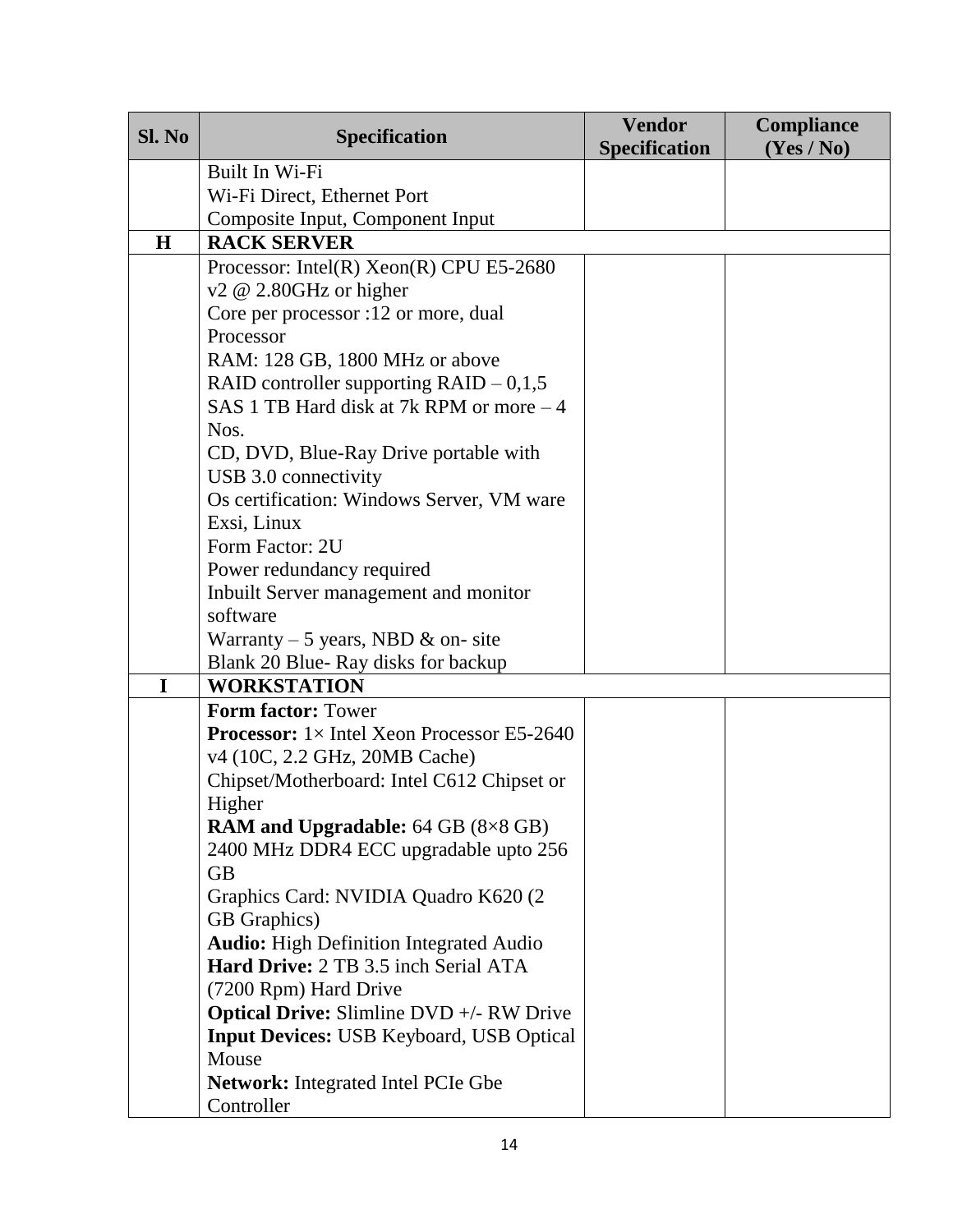| Sl. No | <b>Specification</b>                                                               | <b>Vendor</b><br><b>Specification</b> | Compliance<br>(Yes / No) |
|--------|------------------------------------------------------------------------------------|---------------------------------------|--------------------------|
|        | Built In Wi-Fi                                                                     |                                       |                          |
|        | Wi-Fi Direct, Ethernet Port                                                        |                                       |                          |
|        | Composite Input, Component Input                                                   |                                       |                          |
| H      | <b>RACK SERVER</b>                                                                 |                                       |                          |
|        | Processor: Intel(R) $Xeon(R)$ CPU E5-2680                                          |                                       |                          |
|        | $v2 \& 2.80 \text{GHz}$ or higher                                                  |                                       |                          |
|        | Core per processor :12 or more, dual                                               |                                       |                          |
|        | Processor                                                                          |                                       |                          |
|        | RAM: 128 GB, 1800 MHz or above                                                     |                                       |                          |
|        | RAID controller supporting $RAID - 0,1,5$                                          |                                       |                          |
|        | SAS 1 TB Hard disk at 7k RPM or more – 4                                           |                                       |                          |
|        | Nos.                                                                               |                                       |                          |
|        | CD, DVD, Blue-Ray Drive portable with<br>USB 3.0 connectivity                      |                                       |                          |
|        | Os certification: Windows Server, VM ware                                          |                                       |                          |
|        | Exsi, Linux                                                                        |                                       |                          |
|        | Form Factor: 2U                                                                    |                                       |                          |
|        | Power redundancy required                                                          |                                       |                          |
|        | Inbuilt Server management and monitor                                              |                                       |                          |
|        | software                                                                           |                                       |                          |
|        | Warranty – 5 years, NBD $\&$ on-site                                               |                                       |                          |
|        | Blank 20 Blue-Ray disks for backup                                                 |                                       |                          |
| I      | <b>WORKSTATION</b>                                                                 |                                       |                          |
|        | <b>Form factor: Tower</b>                                                          |                                       |                          |
|        | <b>Processor:</b> $1 \times$ Intel Xeon Processor E5-2640                          |                                       |                          |
|        | v4 (10C, 2.2 GHz, 20MB Cache)                                                      |                                       |                          |
|        | Chipset/Motherboard: Intel C612 Chipset or                                         |                                       |                          |
|        | Higher                                                                             |                                       |                          |
|        | <b>RAM and Upgradable:</b> 64 GB (8×8 GB)<br>2400 MHz DDR4 ECC upgradable upto 256 |                                       |                          |
|        | <b>GB</b>                                                                          |                                       |                          |
|        | Graphics Card: NVIDIA Quadro K620 (2)                                              |                                       |                          |
|        | GB Graphics)                                                                       |                                       |                          |
|        | <b>Audio:</b> High Definition Integrated Audio                                     |                                       |                          |
|        | Hard Drive: 2 TB 3.5 inch Serial ATA                                               |                                       |                          |
|        | (7200 Rpm) Hard Drive                                                              |                                       |                          |
|        | <b>Optical Drive:</b> Slimline DVD +/- RW Drive                                    |                                       |                          |
|        | Input Devices: USB Keyboard, USB Optical                                           |                                       |                          |
|        | Mouse                                                                              |                                       |                          |
|        | <b>Network:</b> Integrated Intel PCIe Gbe                                          |                                       |                          |
|        | Controller                                                                         |                                       |                          |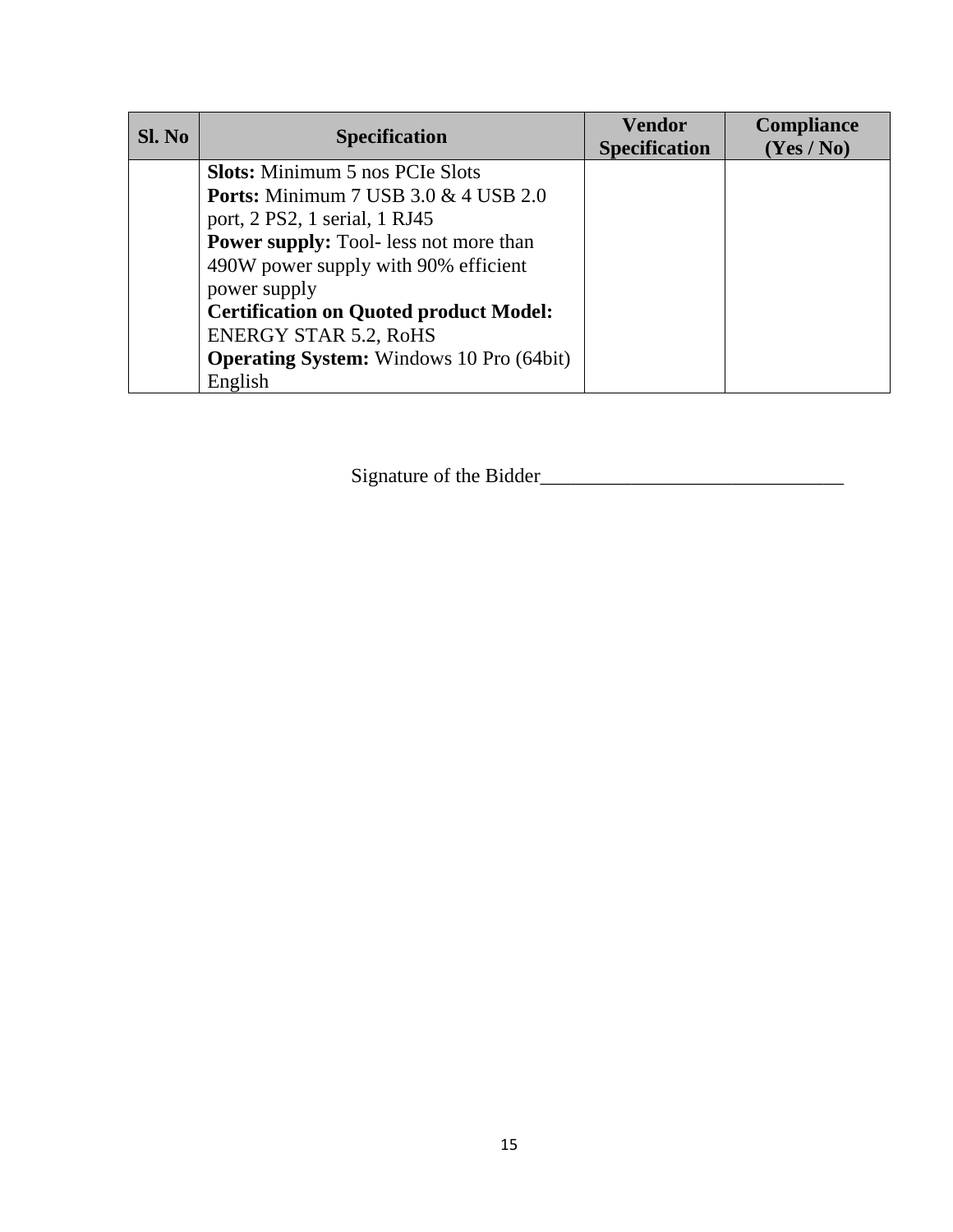| SI. No | <b>Specification</b>                            | <b>Vendor</b><br><b>Specification</b> | <b>Compliance</b><br>(Yes/No) |
|--------|-------------------------------------------------|---------------------------------------|-------------------------------|
|        | <b>Slots:</b> Minimum 5 nos PCIe Slots          |                                       |                               |
|        | <b>Ports:</b> Minimum 7 USB 3.0 & 4 USB 2.0     |                                       |                               |
|        | port, 2 PS2, 1 serial, 1 RJ45                   |                                       |                               |
|        | <b>Power supply:</b> Tool- less not more than   |                                       |                               |
|        | 490W power supply with 90% efficient            |                                       |                               |
|        | power supply                                    |                                       |                               |
|        | <b>Certification on Quoted product Model:</b>   |                                       |                               |
|        | <b>ENERGY STAR 5.2, RoHS</b>                    |                                       |                               |
|        | <b>Operating System:</b> Windows 10 Pro (64bit) |                                       |                               |
|        | English                                         |                                       |                               |

Signature of the Bidder\_\_\_\_\_\_\_\_\_\_\_\_\_\_\_\_\_\_\_\_\_\_\_\_\_\_\_\_\_\_